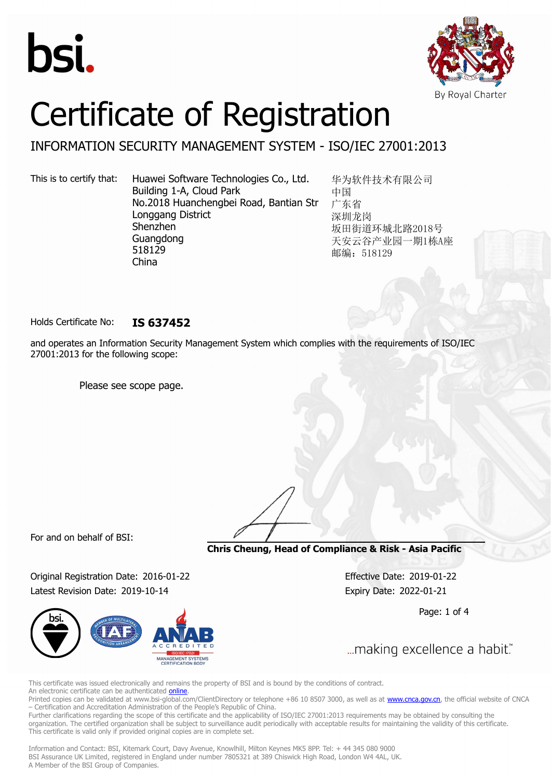



# Certificate of Registration

### INFORMATION SECURITY MANAGEMENT SYSTEM - ISO/IEC 27001:2013

This is to certify that: Huawei Software Technologies Co., Ltd. Building 1-A, Cloud Park No.2018 Huanchengbei Road, Bantian Str Longgang District Shenzhen Guangdong 518129 China

华为软件技术有限公司 中国 广东省 深圳龙岗 坂田街道环城北路2018号 天安云谷产业园一期1栋A座 邮编: 518129

Holds Certificate No: **IS 637452**

and operates an Information Security Management System which complies with the requirements of ISO/IEC 27001:2013 for the following scope:

Please see scope page.

For and on behalf of BSI:

**Chris Cheung, Head of Compliance & Risk - Asia Pacific**

Original Registration Date: 2016-01-22 Effective Date: 2019-01-22 Latest Revision Date: 2019-10-14 Expiry Date: 2022-01-21



Page: 1 of 4

... making excellence a habit."

This certificate was issued electronically and remains the property of BSI and is bound by the conditions of contract. An electronic certificate can be authenticated **[online](https://pgplus.bsigroup.com/CertificateValidation/CertificateValidator.aspx?CertificateNumber=IS+637452&ReIssueDate=14%2f10%2f2019&Template=cnen)**.

Printed copies can be validated at www.bsi-global.com/ClientDirectory or telephone +86 10 8507 3000, as well as at **www.cnca.gov.cn**, the official website of CNCA – Certification and Accreditation Administration of the People's Republic of China.

Further clarifications regarding the scope of this certificate and the applicability of ISO/IEC 27001:2013 requirements may be obtained by consulting the organization. The certified organization shall be subject to surveillance audit periodically with acceptable results for maintaining the validity of this certificate. This certificate is valid only if provided original copies are in complete set.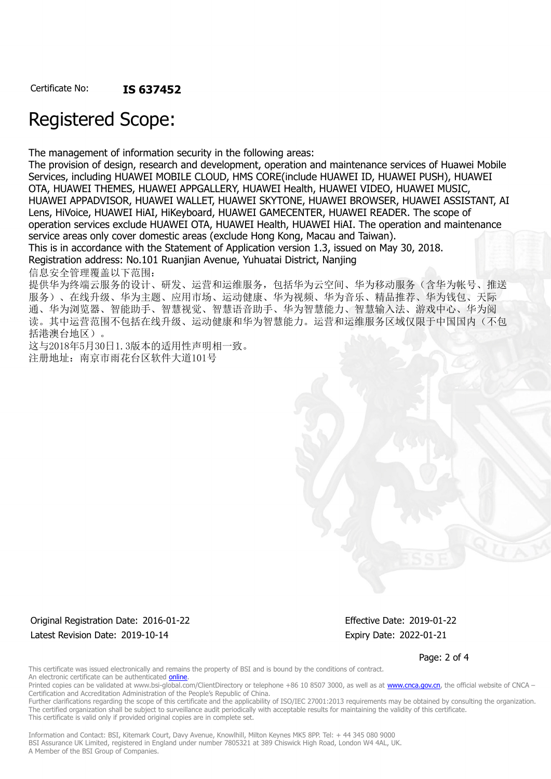## Registered Scope:

The management of information security in the following areas:

The provision of design, research and development, operation and maintenance services of Huawei Mobile Services, including HUAWEI MOBILE CLOUD, HMS CORE(include HUAWEI ID, HUAWEI PUSH), HUAWEI OTA, HUAWEI THEMES, HUAWEI APPGALLERY, HUAWEI Health, HUAWEI VIDEO, HUAWEI MUSIC, HUAWEI APPADVISOR, HUAWEI WALLET, HUAWEI SKYTONE, HUAWEI BROWSER, HUAWEI ASSISTANT, AI Lens, HiVoice, HUAWEI HiAI, HiKeyboard, HUAWEI GAMECENTER, HUAWEI READER. The scope of operation services exclude HUAWEI OTA, HUAWEI Health, HUAWEI HiAI. The operation and maintenance service areas only cover domestic areas (exclude Hong Kong, Macau and Taiwan). This is in accordance with the Statement of Application version 1.3, issued on May 30, 2018. Registration address: No.101 Ruanjian Avenue, Yuhuatai District, Nanjing

信息安全管理覆盖以下范围:

提供华为终端云服务的设计、研发、运营和运维服务,包括华为云空间、华为移动服务(含华为帐号、推送 服务)、在线升级、华为主题、应用市场、运动健康、华为视频、华为音乐、精品推荐、华为钱包、天际 通、华为浏览器、智能助手、智慧视觉、智慧语音助手、华为智慧能力、智慧输入法、游戏中心、华为阅 读。其中运营范围不包括在线升级、运动健康和华为智慧能力。运营和运维服务区域仅限于中国国内(不包 括港澳台地区)。

这与2018年5月30日1.3版本的适用性声明相一致。 注册地址:南京市雨花台区软件大道101号

Original Registration Date: 2016-01-22 Effective Date: 2019-01-22 Latest Revision Date: 2019-10-14 **Expiry Date: 2022-01-21** Expiry Date: 2022-01-21

Page: 2 of 4

This certificate was issued electronically and remains the property of BSI and is bound by the conditions of contract. An electronic certificate can be authenticated **[online](https://pgplus.bsigroup.com/CertificateValidation/CertificateValidator.aspx?CertificateNumber=IS+637452&ReIssueDate=14%2f10%2f2019&Template=cnen)**.

Printed copies can be validated at www.bsi-global.com/ClientDirectory or telephone +86 10 8507 3000, as well as at [www.cnca.gov.cn,](www.cnca.gov.cn) the official website of CNCA – Certification and Accreditation Administration of the People's Republic of China.

Further clarifications regarding the scope of this certificate and the applicability of ISO/IEC 27001:2013 requirements may be obtained by consulting the organization. The certified organization shall be subject to surveillance audit periodically with acceptable results for maintaining the validity of this certificate. This certificate is valid only if provided original copies are in complete set.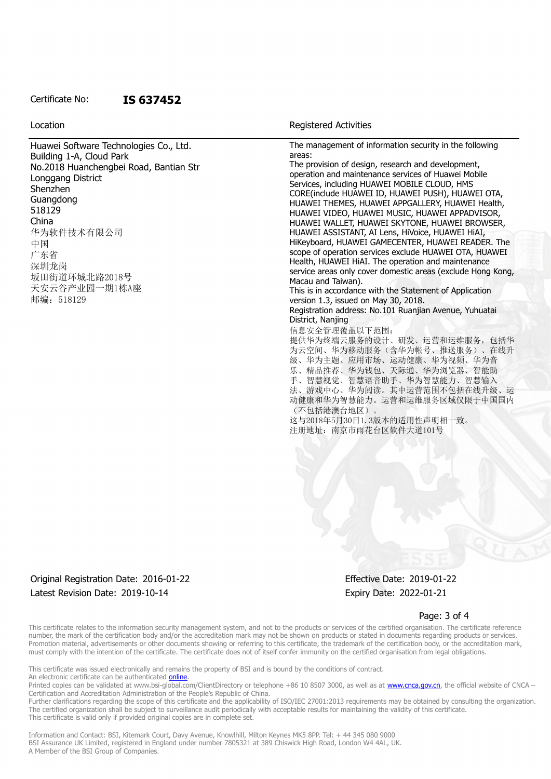#### Certificate No: **IS 637452**

Location **Exercise 2018 Location Registered Activities** 

| Huawei Software Technologies Co., Ltd. | The management of information security in the following     |
|----------------------------------------|-------------------------------------------------------------|
| Building 1-A, Cloud Park               | areas:                                                      |
| No.2018 Huanchengbei Road, Bantian Str | The provision of design, research and development,          |
| Longgang District                      | operation and maintenance services of Huawei Mobile         |
|                                        | Services, including HUAWEI MOBILE CLOUD, HMS                |
| Shenzhen                               | CORE(include HUAWEI ID, HUAWEI PUSH), HUAWEI OTA,           |
| Guangdong                              | HUAWEI THEMES, HUAWEI APPGALLERY, HUAWEI Health,            |
| 518129                                 | HUAWEI VIDEO, HUAWEI MUSIC, HUAWEI APPADVISOR,              |
| China                                  | HUAWEI WALLET, HUAWEI SKYTONE, HUAWEI BROWSER,              |
| 华为软件技术有限公司                             | HUAWEI ASSISTANT, AI Lens, HiVoice, HUAWEI HIAI,            |
|                                        | HiKeyboard, HUAWEI GAMECENTER, HUAWEI READER. The           |
| 中国                                     | scope of operation services exclude HUAWEI OTA, HUAWEI      |
| 广东省                                    | Health, HUAWEI HIAI. The operation and maintenance          |
| 深圳龙岗                                   | service areas only cover domestic areas (exclude Hong Kong, |
| 坂田街道环城北路2018号                          | Macau and Taiwan).                                          |
| 天安云谷产业园一期1栋A座                          | This is in accordance with the Statement of Application     |
| 邮编: 518129                             | version 1.3, issued on May 30, 2018.                        |
|                                        | Registration address: No.101 Ruanjian Avenue, Yuhuatai      |
|                                        | District, Nanjing                                           |
|                                        | 信息安全管理覆盖以下范围:                                               |
|                                        |                                                             |
|                                        | 提供华为终端云服务的设计、研发、运营和运维服务,包括华                                 |
|                                        | 为云空间、华为移动服务(含华为帐号、推送服务)、在线升                                 |
|                                        | 级、华为主题、应用市场、运动健康、华为视频、华为音                                   |
|                                        | 乐、精品推荐、华为钱包、天际通、华为浏览器、智能助                                   |
|                                        | 手、智慧视觉、智慧语音助手、华为智慧能力、智慧输入                                   |
|                                        | 法、游戏中心、华为阅读。其中运营范围不包括在线升级、运                                 |
|                                        | 动健康和华为智慧能力。运营和运维服务区域仅限于中国国内                                 |
|                                        | (不包括港澳台地区)。                                                 |
|                                        | 这与2018年5月30日1.3版本的适用性声明相一致。                                 |
|                                        | 注册地址: 南京市雨花台区软件大道101号                                       |
|                                        |                                                             |
|                                        |                                                             |

#### Original Registration Date: 2016-01-22 Effective Date: 2019-01-22 Latest Revision Date: 2019-10-14 **Expiry Date: 2022-01-21** Expiry Date: 2022-01-21

#### Page: 3 of 4

This certificate relates to the information security management system, and not to the products or services of the certified organisation. The certificate reference number, the mark of the certification body and/or the accreditation mark may not be shown on products or stated in documents regarding products or services. Promotion material, advertisements or other documents showing or referring to this certificate, the trademark of the certification body, or the accreditation mark, must comply with the intention of the certificate. The certificate does not of itself confer immunity on the certified organisation from legal obligations.

This certificate was issued electronically and remains the property of BSI and is bound by the conditions of contract. An electronic certificate can be authenticated **[online](https://pgplus.bsigroup.com/CertificateValidation/CertificateValidator.aspx?CertificateNumber=IS+637452&ReIssueDate=14%2f10%2f2019&Template=cnen)**.

Printed copies can be validated at www.bsi-global.com/ClientDirectory or telephone +86 10 8507 3000, as well as at [www.cnca.gov.cn,](www.cnca.gov.cn) the official website of CNCA – Certification and Accreditation Administration of the People's Republic of China.

Further clarifications regarding the scope of this certificate and the applicability of ISO/IEC 27001:2013 requirements may be obtained by consulting the organization. The certified organization shall be subject to surveillance audit periodically with acceptable results for maintaining the validity of this certificate. This certificate is valid only if provided original copies are in complete set.